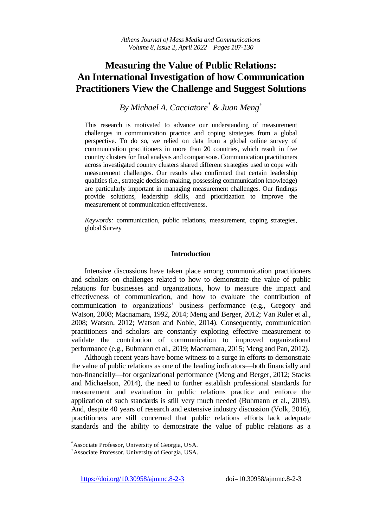# **Measuring the Value of Public Relations: An International Investigation of how Communication Practitioners View the Challenge and Suggest Solutions**

*By Michael A. Cacciatore\* & Juan Meng<sup>±</sup>*

This research is motivated to advance our understanding of measurement challenges in communication practice and coping strategies from a global perspective. To do so, we relied on data from a global online survey of communication practitioners in more than 20 countries, which result in five country clusters for final analysis and comparisons. Communication practitioners across investigated country clusters shared different strategies used to cope with measurement challenges. Our results also confirmed that certain leadership qualities (i.e., strategic decision-making, possessing communication knowledge) are particularly important in managing measurement challenges. Our findings provide solutions, leadership skills, and prioritization to improve the measurement of communication effectiveness.

*Keywords:* communication, public relations, measurement, coping strategies, global Survey

### **Introduction**

Intensive discussions have taken place among communication practitioners and scholars on challenges related to how to demonstrate the value of public relations for businesses and organizations, how to measure the impact and effectiveness of communication, and how to evaluate the contribution of communication to organizations' business performance (e.g., Gregory and Watson, 2008; Macnamara, 1992, 2014; Meng and Berger, 2012; Van Ruler et al., 2008; Watson, 2012; Watson and Noble, 2014). Consequently, communication practitioners and scholars are constantly exploring effective measurement to validate the contribution of communication to improved organizational performance (e.g., Buhmann et al., 2019; Macnamara, 2015; Meng and Pan, 2012).

Although recent years have borne witness to a surge in efforts to demonstrate the value of public relations as one of the leading indicators—both financially and non-financially—for organizational performance (Meng and Berger, 2012; Stacks and Michaelson, 2014), the need to further establish professional standards for measurement and evaluation in public relations practice and enforce the application of such standards is still very much needed (Buhmann et al., 2019). And, despite 40 years of research and extensive industry discussion (Volk, 2016), practitioners are still concerned that public relations efforts lack adequate standards and the ability to demonstrate the value of public relations as a

 $\overline{a}$ 

<https://doi.org/10.30958/ajmmc.8-2-3>doi=10.30958/ajmmc.8-2-3

<sup>\*</sup>Associate Professor, University of Georgia, USA.

<sup>±</sup>Associate Professor, University of Georgia, USA.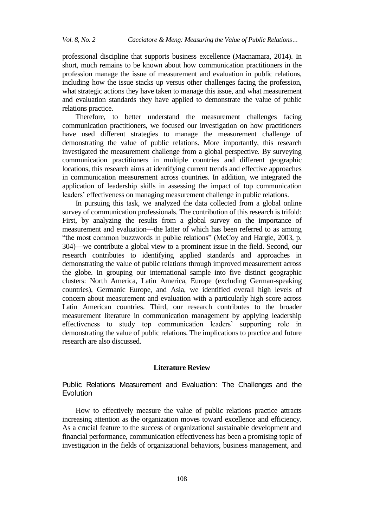professional discipline that supports business excellence (Macnamara, 2014). In short, much remains to be known about how communication practitioners in the profession manage the issue of measurement and evaluation in public relations, including how the issue stacks up versus other challenges facing the profession, what strategic actions they have taken to manage this issue, and what measurement and evaluation standards they have applied to demonstrate the value of public relations practice.

Therefore, to better understand the measurement challenges facing communication practitioners, we focused our investigation on how practitioners have used different strategies to manage the measurement challenge of demonstrating the value of public relations. More importantly, this research investigated the measurement challenge from a global perspective. By surveying communication practitioners in multiple countries and different geographic locations, this research aims at identifying current trends and effective approaches in communication measurement across countries. In addition, we integrated the application of leadership skills in assessing the impact of top communication leaders' effectiveness on managing measurement challenge in public relations.

In pursuing this task, we analyzed the data collected from a global online survey of communication professionals. The contribution of this research is trifold: First, by analyzing the results from a global survey on the importance of measurement and evaluation—the latter of which has been referred to as among "the most common buzzwords in public relations" (McCoy and Hargie, 2003, p. 304)—we contribute a global view to a prominent issue in the field. Second, our research contributes to identifying applied standards and approaches in demonstrating the value of public relations through improved measurement across the globe. In grouping our international sample into five distinct geographic clusters: North America, Latin America, Europe (excluding German-speaking countries), Germanic Europe, and Asia, we identified overall high levels of concern about measurement and evaluation with a particularly high score across Latin American countries. Third, our research contributes to the broader measurement literature in communication management by applying leadership effectiveness to study top communication leaders' supporting role in demonstrating the value of public relations. The implications to practice and future research are also discussed.

### **Literature Review**

Public Relations Measurement and Evaluation: The Challenges and the Evolution

How to effectively measure the value of public relations practice attracts increasing attention as the organization moves toward excellence and efficiency. As a crucial feature to the success of organizational sustainable development and financial performance, communication effectiveness has been a promising topic of investigation in the fields of organizational behaviors, business management, and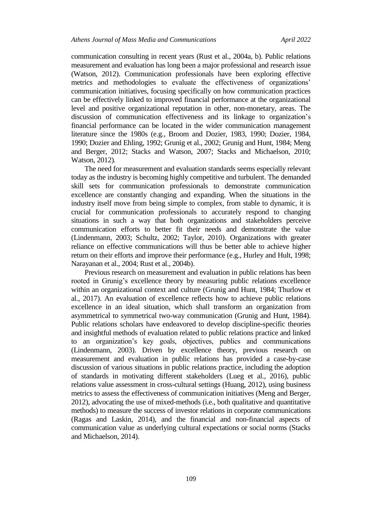communication consulting in recent years (Rust et al., 2004a, b). Public relations measurement and evaluation has long been a major professional and research issue (Watson, 2012). Communication professionals have been exploring effective metrics and methodologies to evaluate the effectiveness of organizations' communication initiatives, focusing specifically on how communication practices can be effectively linked to improved financial performance at the organizational level and positive organizational reputation in other, non-monetary, areas. The discussion of communication effectiveness and its linkage to organization's financial performance can be located in the wider communication management literature since the 1980s (e.g., Broom and Dozier, 1983, 1990; Dozier, 1984, 1990; Dozier and Ehling, 1992; Grunig et al., 2002; Grunig and Hunt, 1984; Meng and Berger, 2012; Stacks and Watson, 2007; Stacks and Michaelson, 2010; Watson, 2012).

The need for measurement and evaluation standards seems especially relevant today as the industry is becoming highly competitive and turbulent. The demanded skill sets for communication professionals to demonstrate communication excellence are constantly changing and expanding. When the situations in the industry itself move from being simple to complex, from stable to dynamic, it is crucial for communication professionals to accurately respond to changing situations in such a way that both organizations and stakeholders perceive communication efforts to better fit their needs and demonstrate the value (Lindenmann, 2003; Schultz, 2002; Taylor, 2010). Organizations with greater reliance on effective communications will thus be better able to achieve higher return on their efforts and improve their performance (e.g., Hurley and Hult, 1998; Narayanan et al., 2004; Rust et al., 2004b).

Previous research on measurement and evaluation in public relations has been rooted in Grunig's excellence theory by measuring public relations excellence within an organizational context and culture (Grunig and Hunt, 1984; Thurlow et al., 2017). An evaluation of excellence reflects how to achieve public relations excellence in an ideal situation, which shall transform an organization from asymmetrical to symmetrical two-way communication (Grunig and Hunt, 1984). Public relations scholars have endeavored to develop discipline-specific theories and insightful methods of evaluation related to public relations practice and linked to an organization's key goals, objectives, publics and communications (Lindenmann, 2003). Driven by excellence theory, previous research on measurement and evaluation in public relations has provided a case-by-case discussion of various situations in public relations practice, including the adoption of standards in motivating different stakeholders (Lueg et al., 2016), public relations value assessment in cross-cultural settings (Huang, 2012), using business metrics to assess the effectiveness of communication initiatives (Meng and Berger, 2012), advocating the use of mixed-methods (i.e., both qualitative and quantitative methods) to measure the success of investor relations in corporate communications (Ragas and Laskin, 2014), and the financial and non-financial aspects of communication value as underlying cultural expectations or social norms (Stacks and Michaelson, 2014).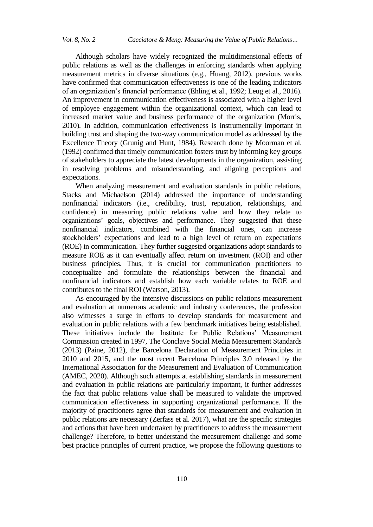Although scholars have widely recognized the multidimensional effects of public relations as well as the challenges in enforcing standards when applying measurement metrics in diverse situations (e.g., Huang, 2012), previous works have confirmed that communication effectiveness is one of the leading indicators of an organization's financial performance (Ehling et al., 1992; Leug et al., 2016). An improvement in communication effectiveness is associated with a higher level of employee engagement within the organizational context, which can lead to increased market value and business performance of the organization (Morris, 2010). In addition, communication effectiveness is instrumentally important in building trust and shaping the two-way communication model as addressed by the Excellence Theory (Grunig and Hunt, 1984). Research done by Moorman et al. (1992) confirmed that timely communication fosters trust by informing key groups of stakeholders to appreciate the latest developments in the organization, assisting in resolving problems and misunderstanding, and aligning perceptions and expectations.

When analyzing measurement and evaluation standards in public relations, Stacks and Michaelson (2014) addressed the importance of understanding nonfinancial indicators (i.e., credibility, trust, reputation, relationships, and confidence) in measuring public relations value and how they relate to organizations' goals, objectives and performance. They suggested that these nonfinancial indicators, combined with the financial ones, can increase stockholders' expectations and lead to a high level of return on expectations (ROE) in communication. They further suggested organizations adopt standards to measure ROE as it can eventually affect return on investment (ROI) and other business principles. Thus, it is crucial for communication practitioners to conceptualize and formulate the relationships between the financial and nonfinancial indicators and establish how each variable relates to ROE and contributes to the final ROI (Watson, 2013).

As encouraged by the intensive discussions on public relations measurement and evaluation at numerous academic and industry conferences, the profession also witnesses a surge in efforts to develop standards for measurement and evaluation in public relations with a few benchmark initiatives being established. These initiatives include the Institute for Public Relations' Measurement Commission created in 1997, The Conclave Social Media Measurement Standards (2013) (Paine, 2012), the Barcelona Declaration of Measurement Principles in 2010 and 2015, and the most recent Barcelona Principles 3.0 released by the International Association for the Measurement and Evaluation of Communication (AMEC, 2020). Although such attempts at establishing standards in measurement and evaluation in public relations are particularly important, it further addresses the fact that public relations value shall be measured to validate the improved communication effectiveness in supporting organizational performance. If the majority of practitioners agree that standards for measurement and evaluation in public relations are necessary (Zerfass et al. 2017), what are the specific strategies and actions that have been undertaken by practitioners to address the measurement challenge? Therefore, to better understand the measurement challenge and some best practice principles of current practice, we propose the following questions to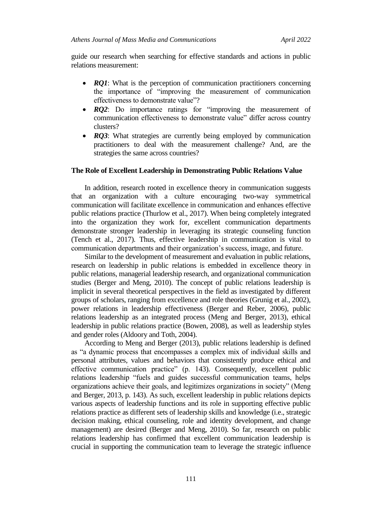guide our research when searching for effective standards and actions in public relations measurement:

- *RQ1*: What is the perception of communication practitioners concerning the importance of "improving the measurement of communication effectiveness to demonstrate value"?
- *RQ2*: Do importance ratings for "improving the measurement of communication effectiveness to demonstrate value" differ across country clusters?
- *RQ3*: What strategies are currently being employed by communication practitioners to deal with the measurement challenge? And, are the strategies the same across countries?

### **The Role of Excellent Leadership in Demonstrating Public Relations Value**

In addition, research rooted in excellence theory in communication suggests that an organization with a culture encouraging two-way symmetrical communication will facilitate excellence in communication and enhances effective public relations practice (Thurlow et al., 2017). When being completely integrated into the organization they work for, excellent communication departments demonstrate stronger leadership in leveraging its strategic counseling function (Tench et al., 2017). Thus, effective leadership in communication is vital to communication departments and their organization's success, image, and future.

Similar to the development of measurement and evaluation in public relations, research on leadership in public relations is embedded in excellence theory in public relations, managerial leadership research, and organizational communication studies (Berger and Meng, 2010). The concept of public relations leadership is implicit in several theoretical perspectives in the field as investigated by different groups of scholars, ranging from excellence and role theories (Grunig et al., 2002), power relations in leadership effectiveness (Berger and Reber, 2006), public relations leadership as an integrated process (Meng and Berger, 2013), ethical leadership in public relations practice (Bowen, 2008), as well as leadership styles and gender roles (Aldoory and Toth, 2004).

According to Meng and Berger (2013), public relations leadership is defined as "a dynamic process that encompasses a complex mix of individual skills and personal attributes, values and behaviors that consistently produce ethical and effective communication practice" (p. 143). Consequently, excellent public relations leadership "fuels and guides successful communication teams, helps organizations achieve their goals, and legitimizes organizations in society" (Meng and Berger, 2013, p. 143). As such, excellent leadership in public relations depicts various aspects of leadership functions and its role in supporting effective public relations practice as different sets of leadership skills and knowledge (i.e., strategic decision making, ethical counseling, role and identity development, and change management) are desired (Berger and Meng, 2010). So far, research on public relations leadership has confirmed that excellent communication leadership is crucial in supporting the communication team to leverage the strategic influence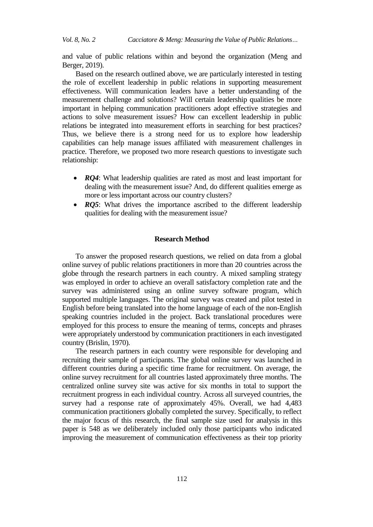and value of public relations within and beyond the organization (Meng and Berger, 2019).

Based on the research outlined above, we are particularly interested in testing the role of excellent leadership in public relations in supporting measurement effectiveness. Will communication leaders have a better understanding of the measurement challenge and solutions? Will certain leadership qualities be more important in helping communication practitioners adopt effective strategies and actions to solve measurement issues? How can excellent leadership in public relations be integrated into measurement efforts in searching for best practices? Thus, we believe there is a strong need for us to explore how leadership capabilities can help manage issues affiliated with measurement challenges in practice. Therefore, we proposed two more research questions to investigate such relationship:

- *RQ4*: What leadership qualities are rated as most and least important for dealing with the measurement issue? And, do different qualities emerge as more or less important across our country clusters?
- *RQ5*: What drives the importance ascribed to the different leadership qualities for dealing with the measurement issue?

### **Research Method**

To answer the proposed research questions, we relied on data from a global online survey of public relations practitioners in more than 20 countries across the globe through the research partners in each country. A mixed sampling strategy was employed in order to achieve an overall satisfactory completion rate and the survey was administered using an online survey software program, which supported multiple languages. The original survey was created and pilot tested in English before being translated into the home language of each of the non-English speaking countries included in the project. Back translational procedures were employed for this process to ensure the meaning of terms, concepts and phrases were appropriately understood by communication practitioners in each investigated country (Brislin, 1970).

The research partners in each country were responsible for developing and recruiting their sample of participants. The global online survey was launched in different countries during a specific time frame for recruitment. On average, the online survey recruitment for all countries lasted approximately three months. The centralized online survey site was active for six months in total to support the recruitment progress in each individual country. Across all surveyed countries, the survey had a response rate of approximately 45%. Overall, we had 4,483 communication practitioners globally completed the survey. Specifically, to reflect the major focus of this research, the final sample size used for analysis in this paper is 548 as we deliberately included only those participants who indicated improving the measurement of communication effectiveness as their top priority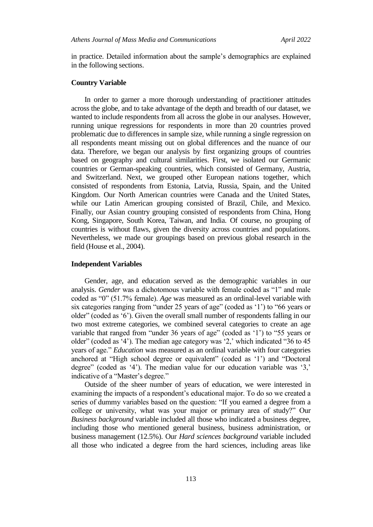in practice. Detailed information about the sample's demographics are explained in the following sections.

#### **Country Variable**

In order to garner a more thorough understanding of practitioner attitudes across the globe, and to take advantage of the depth and breadth of our dataset, we wanted to include respondents from all across the globe in our analyses. However, running unique regressions for respondents in more than 20 countries proved problematic due to differences in sample size, while running a single regression on all respondents meant missing out on global differences and the nuance of our data. Therefore, we began our analysis by first organizing groups of countries based on geography and cultural similarities. First, we isolated our Germanic countries or German-speaking countries, which consisted of Germany, Austria, and Switzerland. Next, we grouped other European nations together, which consisted of respondents from Estonia, Latvia, Russia, Spain, and the United Kingdom. Our North American countries were Canada and the United States, while our Latin American grouping consisted of Brazil, Chile, and Mexico. Finally, our Asian country grouping consisted of respondents from China, Hong Kong, Singapore, South Korea, Taiwan, and India. Of course, no grouping of countries is without flaws, given the diversity across countries and populations. Nevertheless, we made our groupings based on previous global research in the field (House et al., 2004).

### **Independent Variables**

Gender, age, and education served as the demographic variables in our analysis. *Gender* was a dichotomous variable with female coded as "1" and male coded as "0" (51.7% female). *Age* was measured as an ordinal-level variable with six categories ranging from "under 25 years of age" (coded as '1') to "66 years or older" (coded as '6'). Given the overall small number of respondents falling in our two most extreme categories, we combined several categories to create an age variable that ranged from "under 36 years of age" (coded as '1') to "55 years or older" (coded as '4'). The median age category was '2,' which indicated "36 to 45 years of age." *Education* was measured as an ordinal variable with four categories anchored at "High school degree or equivalent" (coded as '1') and "Doctoral degree" (coded as  $4'$ ). The median value for our education variable was  $3'$ , indicative of a "Master's degree."

Outside of the sheer number of years of education, we were interested in examining the impacts of a respondent's educational major. To do so we created a series of dummy variables based on the question: "If you earned a degree from a college or university, what was your major or primary area of study?" Our *Business background* variable included all those who indicated a business degree, including those who mentioned general business, business administration, or business management (12.5%). Our *Hard sciences background* variable included all those who indicated a degree from the hard sciences, including areas like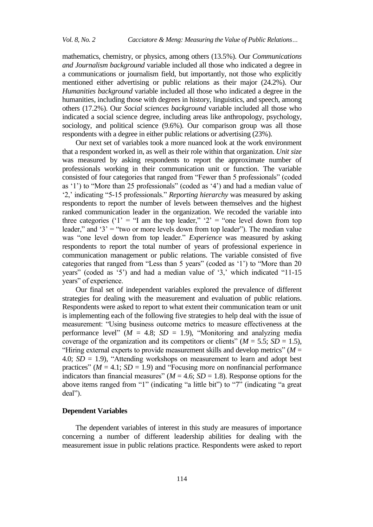mathematics, chemistry, or physics, among others (13.5%). Our *Communications and Journalism background* variable included all those who indicated a degree in a communications or journalism field, but importantly, not those who explicitly mentioned either advertising or public relations as their major (24.2%). Our *Humanities background* variable included all those who indicated a degree in the humanities, including those with degrees in history, linguistics, and speech, among others (17.2%). Our *Social sciences background* variable included all those who indicated a social science degree, including areas like anthropology, psychology, sociology, and political science (9.6%). Our comparison group was all those respondents with a degree in either public relations or advertising (23%).

Our next set of variables took a more nuanced look at the work environment that a respondent worked in, as well as their role within that organization. *Unit size*  was measured by asking respondents to report the approximate number of professionals working in their communication unit or function. The variable consisted of four categories that ranged from "Fewer than 5 professionals" (coded as '1') to "More than 25 professionals" (coded as '4') and had a median value of ‗2,' indicating ―5-15 professionals.‖ *Reporting hierarchy* was measured by asking respondents to report the number of levels between themselves and the highest ranked communication leader in the organization. We recoded the variable into three categories ('1' = "I am the top leader," '2' = "one level down from top leader," and  $3'$  = "two or more levels down from top leader"). The median value was "one level down from top leader." *Experience* was measured by asking respondents to report the total number of years of professional experience in communication management or public relations. The variable consisted of five categories that ranged from "Less than 5 years" (coded as '1') to "More than 20 years" (coded as  $\langle 5 \rangle$ ) and had a median value of  $\langle 3 \rangle$ , which indicated  $\langle 11-15 \rangle$ years" of experience.

Our final set of independent variables explored the prevalence of different strategies for dealing with the measurement and evaluation of public relations. Respondents were asked to report to what extent their communication team or unit is implementing each of the following five strategies to help deal with the issue of measurement: "Using business outcome metrics to measure effectiveness at the performance level" ( $M = 4.8$ ;  $SD = 1.9$ ), "Monitoring and analyzing media coverage of the organization and its competitors or clients" ( $M = 5.5$ ;  $SD = 1.5$ ), "Hiring external experts to provide measurement skills and develop metrics" ( $M =$ 4.0;  $SD = 1.9$ ), "Attending workshops on measurement to learn and adopt best practices" ( $M = 4.1$ ;  $SD = 1.9$ ) and "Focusing more on nonfinancial performance indicators than financial measures" ( $M = 4.6$ ;  $SD = 1.8$ ). Response options for the above items ranged from "1" (indicating "a little bit") to "7" (indicating "a great deal").

#### **Dependent Variables**

The dependent variables of interest in this study are measures of importance concerning a number of different leadership abilities for dealing with the measurement issue in public relations practice. Respondents were asked to report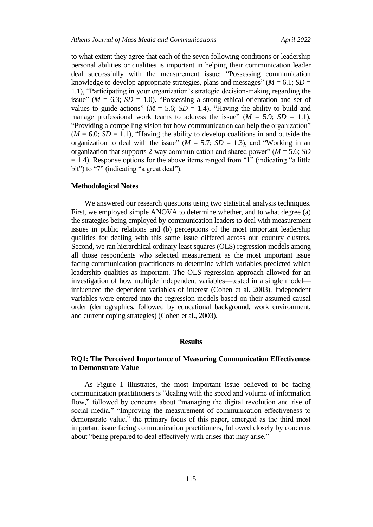to what extent they agree that each of the seven following conditions or leadership personal abilities or qualities is important in helping their communication leader deal successfully with the measurement issue: "Possessing communication knowledge to develop appropriate strategies, plans and messages" ( $M = 6.1$ ;  $SD =$ 1.1), "Participating in your organization's strategic decision-making regarding the issue" ( $M = 6.3$ ;  $SD = 1.0$ ), "Possessing a strong ethical orientation and set of values to guide actions" ( $M = 5.6$ ;  $SD = 1.4$ ), "Having the ability to build and manage professional work teams to address the issue"  $(M = 5.9; SD = 1.1)$ , "Providing a compelling vision for how communication can help the organization"  $(M = 6.0; SD = 1.1)$ , "Having the ability to develop coalitions in and outside the organization to deal with the issue" ( $M = 5.7$ ;  $SD = 1.3$ ), and "Working in an organization that supports 2-way communication and shared power" ( $M = 5.6$ ; *SD*  $= 1.4$ ). Response options for the above items ranged from "1" (indicating "a little bit") to "7" (indicating "a great deal").

### **Methodological Notes**

We answered our research questions using two statistical analysis techniques. First, we employed simple ANOVA to determine whether, and to what degree (a) the strategies being employed by communication leaders to deal with measurement issues in public relations and (b) perceptions of the most important leadership qualities for dealing with this same issue differed across our country clusters. Second, we ran hierarchical ordinary least squares (OLS) regression models among all those respondents who selected measurement as the most important issue facing communication practitioners to determine which variables predicted which leadership qualities as important. The OLS regression approach allowed for an investigation of how multiple independent variables—tested in a single model influenced the dependent variables of interest (Cohen et al. 2003). Independent variables were entered into the regression models based on their assumed causal order (demographics, followed by educational background, work environment, and current coping strategies) (Cohen et al., 2003).

### **Results**

### **RQ1: The Perceived Importance of Measuring Communication Effectiveness to Demonstrate Value**

As Figure 1 illustrates, the most important issue believed to be facing communication practitioners is "dealing with the speed and volume of information flow," followed by concerns about "managing the digital revolution and rise of social media." "Improving the measurement of communication effectiveness to demonstrate value," the primary focus of this paper, emerged as the third most important issue facing communication practitioners, followed closely by concerns about "being prepared to deal effectively with crises that may arise."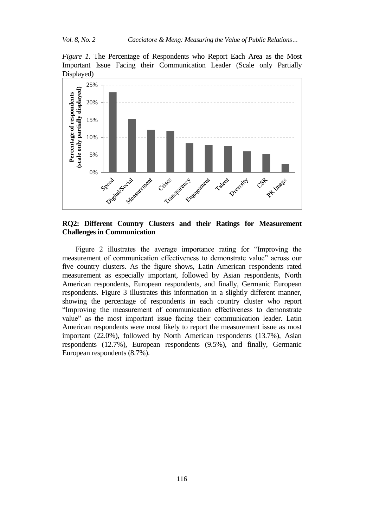*Figure 1.* The Percentage of Respondents who Report Each Area as the Most Important Issue Facing their Communication Leader (Scale only Partially Displayed)



# **RQ2: Different Country Clusters and their Ratings for Measurement Challenges in Communication**

Figure 2 illustrates the average importance rating for "Improving the measurement of communication effectiveness to demonstrate value" across our five country clusters. As the figure shows, Latin American respondents rated measurement as especially important, followed by Asian respondents, North American respondents, European respondents, and finally, Germanic European respondents. Figure 3 illustrates this information in a slightly different manner, showing the percentage of respondents in each country cluster who report "Improving the measurement of communication effectiveness to demonstrate value" as the most important issue facing their communication leader. Latin American respondents were most likely to report the measurement issue as most important (22.0%), followed by North American respondents (13.7%), Asian respondents (12.7%), European respondents (9.5%), and finally, Germanic European respondents (8.7%).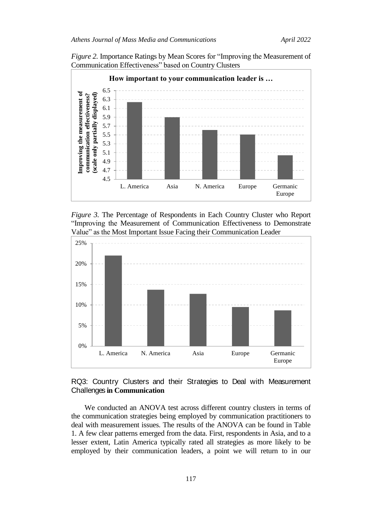*Figure 2.* Importance Ratings by Mean Scores for "Improving the Measurement of Communication Effectiveness" based on Country Clusters







# RQ3: Country Clusters and their Strategies to Deal with Measurement Challenges **in Communication**

We conducted an ANOVA test across different country clusters in terms of the communication strategies being employed by communication practitioners to deal with measurement issues. The results of the ANOVA can be found in Table 1. A few clear patterns emerged from the data. First, respondents in Asia, and to a lesser extent, Latin America typically rated all strategies as more likely to be employed by their communication leaders, a point we will return to in our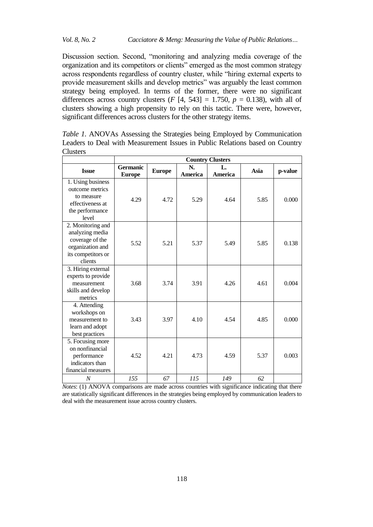Discussion section. Second, "monitoring and analyzing media coverage of the organization and its competitors or clients" emerged as the most common strategy across respondents regardless of country cluster, while "hiring external experts to provide measurement skills and develop metrics" was arguably the least common strategy being employed. In terms of the former, there were no significant differences across country clusters  $(F [4, 543] = 1.750, p = 0.138)$ , with all of clusters showing a high propensity to rely on this tactic. There were, however, significant differences across clusters for the other strategy items.

|                                                                                                              | <b>Country Clusters</b>          |               |               |               |      |         |
|--------------------------------------------------------------------------------------------------------------|----------------------------------|---------------|---------------|---------------|------|---------|
| <b>Issue</b>                                                                                                 | <b>Germanic</b><br><b>Europe</b> | <b>Europe</b> | N.<br>America | L.<br>America | Asia | p-value |
| 1. Using business<br>outcome metrics                                                                         |                                  |               |               |               |      |         |
| to measure<br>effectiveness at<br>the performance<br>level                                                   | 4.29                             | 4.72          | 5.29          | 4.64          | 5.85 | 0.000   |
| 2. Monitoring and<br>analyzing media<br>coverage of the<br>organization and<br>its competitors or<br>clients | 5.52                             | 5.21          | 5.37          | 5.49          | 5.85 | 0.138   |
| 3. Hiring external<br>experts to provide<br>measurement<br>skills and develop<br>metrics                     | 3.68                             | 3.74          | 3.91          | 4.26          | 4.61 | 0.004   |
| 4. Attending<br>workshops on<br>measurement to<br>learn and adopt<br>best practices                          | 3.43                             | 3.97          | 4.10          | 4.54          | 4.85 | 0.000   |
| 5. Focusing more<br>on nonfinancial<br>performance<br>indicators than<br>financial measures                  | 4.52                             | 4.21          | 4.73          | 4.59          | 5.37 | 0.003   |
| N                                                                                                            | 155                              | 67            | 115           | 149           | 62   |         |

*Table 1.* ANOVAs Assessing the Strategies being Employed by Communication Leaders to Deal with Measurement Issues in Public Relations based on Country **Clusters** 

*Notes*: (1) ANOVA comparisons are made across countries with significance indicating that there are statistically significant differences in the strategies being employed by communication leaders to deal with the measurement issue across country clusters.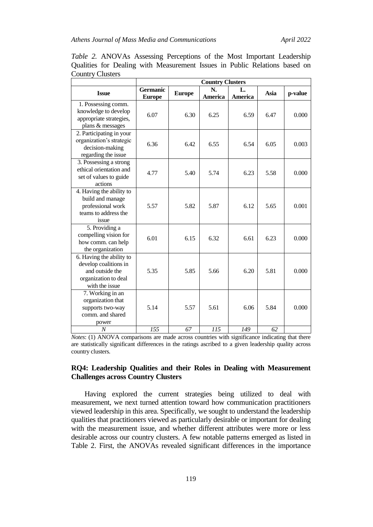|                                                                                                                | <b>Country Clusters</b>          |               |               |                      |      |         |
|----------------------------------------------------------------------------------------------------------------|----------------------------------|---------------|---------------|----------------------|------|---------|
| <b>Issue</b>                                                                                                   | <b>Germanic</b><br><b>Europe</b> | <b>Europe</b> | N.<br>America | L.<br><b>America</b> | Asia | p-value |
| 1. Possessing comm.<br>knowledge to develop<br>appropriate strategies,<br>plans & messages                     | 6.07                             | 6.30          | 6.25          | 6.59                 | 6.47 | 0.000   |
| 2. Participating in your<br>organization's strategic<br>decision-making<br>regarding the issue                 | 6.36                             | 6.42          | 6.55          | 6.54                 | 6.05 | 0.003   |
| 3. Possessing a strong<br>ethical orientation and<br>set of values to guide<br>actions                         | 4.77                             | 5.40          | 5.74          | 6.23                 | 5.58 | 0.000   |
| 4. Having the ability to<br>build and manage<br>professional work<br>teams to address the<br>issue             | 5.57                             | 5.82          | 5.87          | 6.12                 | 5.65 | 0.001   |
| 5. Providing a<br>compelling vision for<br>how comm. can help<br>the organization                              | 6.01                             | 6.15          | 6.32          | 6.61                 | 6.23 | 0.000   |
| 6. Having the ability to<br>develop coalitions in<br>and outside the<br>organization to deal<br>with the issue | 5.35                             | 5.85          | 5.66          | 6.20                 | 5.81 | 0.000   |
| 7. Working in an<br>organization that<br>supports two-way<br>comm. and shared<br>power                         | 5.14                             | 5.57          | 5.61          | 6.06                 | 5.84 | 0.000   |
| $\overline{N}$                                                                                                 | 155                              | 67            | 115           | 149                  | 62   |         |

*Table 2.* ANOVAs Assessing Perceptions of the Most Important Leadership Qualities for Dealing with Measurement Issues in Public Relations based on Country Clusters

*Notes*: (1) ANOVA comparisons are made across countries with significance indicating that there are statistically significant differences in the ratings ascribed to a given leadership quality across country clusters.

### **RQ4: Leadership Qualities and their Roles in Dealing with Measurement Challenges across Country Clusters**

Having explored the current strategies being utilized to deal with measurement, we next turned attention toward how communication practitioners viewed leadership in this area. Specifically, we sought to understand the leadership qualities that practitioners viewed as particularly desirable or important for dealing with the measurement issue, and whether different attributes were more or less desirable across our country clusters. A few notable patterns emerged as listed in Table 2. First, the ANOVAs revealed significant differences in the importance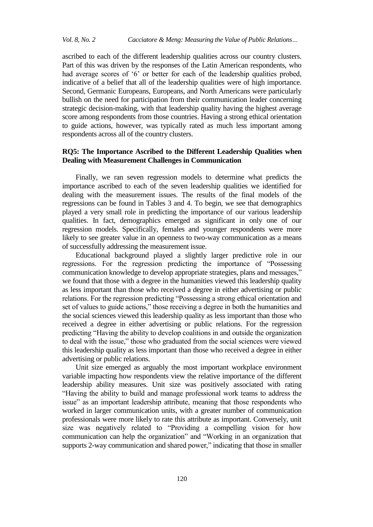ascribed to each of the different leadership qualities across our country clusters. Part of this was driven by the responses of the Latin American respondents, who had average scores of '6' or better for each of the leadership qualities probed, indicative of a belief that all of the leadership qualities were of high importance. Second, Germanic Europeans, Europeans, and North Americans were particularly bullish on the need for participation from their communication leader concerning strategic decision-making, with that leadership quality having the highest average score among respondents from those countries. Having a strong ethical orientation to guide actions, however, was typically rated as much less important among respondents across all of the country clusters.

# **RQ5: The Importance Ascribed to the Different Leadership Qualities when Dealing with Measurement Challenges in Communication**

Finally, we ran seven regression models to determine what predicts the importance ascribed to each of the seven leadership qualities we identified for dealing with the measurement issues. The results of the final models of the regressions can be found in Tables 3 and 4. To begin, we see that demographics played a very small role in predicting the importance of our various leadership qualities. In fact, demographics emerged as significant in only one of our regression models. Specifically, females and younger respondents were more likely to see greater value in an openness to two-way communication as a means of successfully addressing the measurement issue.

Educational background played a slightly larger predictive role in our regressions. For the regression predicting the importance of "Possessing communication knowledge to develop appropriate strategies, plans and messages," we found that those with a degree in the humanities viewed this leadership quality as less important than those who received a degree in either advertising or public relations. For the regression predicting "Possessing a strong ethical orientation and set of values to guide actions," those receiving a degree in both the humanities and the social sciences viewed this leadership quality as less important than those who received a degree in either advertising or public relations. For the regression predicting "Having the ability to develop coalitions in and outside the organization to deal with the issue," those who graduated from the social sciences were viewed this leadership quality as less important than those who received a degree in either advertising or public relations.

Unit size emerged as arguably the most important workplace environment variable impacting how respondents view the relative importance of the different leadership ability measures. Unit size was positively associated with rating ―Having the ability to build and manage professional work teams to address the issue" as an important leadership attribute, meaning that those respondents who worked in larger communication units, with a greater number of communication professionals were more likely to rate this attribute as important. Conversely, unit size was negatively related to "Providing a compelling vision for how communication can help the organization" and "Working in an organization that supports 2-way communication and shared power," indicating that those in smaller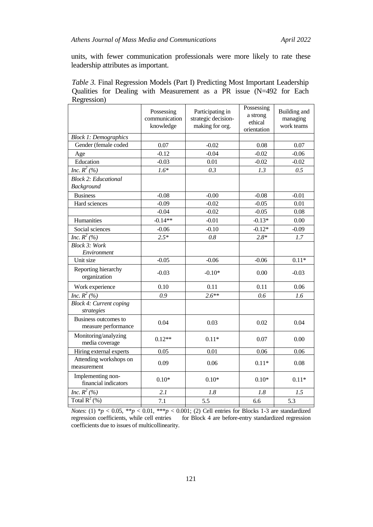units, with fewer communication professionals were more likely to rate these leadership attributes as important.

|             |  | <i>Table 3.</i> Final Regression Models (Part I) Predicting Most Important Leadership |  |  |  |  |
|-------------|--|---------------------------------------------------------------------------------------|--|--|--|--|
|             |  | Qualities for Dealing with Measurement as a PR issue (N=492 for Each                  |  |  |  |  |
| Regression) |  |                                                                                       |  |  |  |  |

|                                              | Possessing<br>communication<br>knowledge | Participating in<br>strategic decision-<br>making for org. | Possessing<br>a strong<br>ethical<br>orientation | Building and<br>managing<br>work teams |
|----------------------------------------------|------------------------------------------|------------------------------------------------------------|--------------------------------------------------|----------------------------------------|
| <b>Block 1: Demographics</b>                 |                                          |                                                            |                                                  |                                        |
| Gender (female coded                         | 0.07                                     | $-0.02$                                                    | 0.08                                             | 0.07                                   |
| Age                                          | $-0.12$                                  | $-0.04$                                                    | $-0.02$                                          | $-0.06$                                |
| Education                                    | $-0.03$                                  | 0.01                                                       | $-0.02$                                          | $-0.02$                                |
| <i>Inc.</i> $R^2$ (%)                        | $1.6*$                                   | 0.3                                                        | 1.3                                              | 0.5                                    |
| <b>Block 2: Educational</b><br>Background    |                                          |                                                            |                                                  |                                        |
| <b>Business</b>                              | $-0.08$                                  | $-0.00$                                                    | $-0.08$                                          | $-0.01$                                |
| Hard sciences                                | $-0.09$                                  | $-0.02$                                                    | $-0.05$                                          | 0.01                                   |
|                                              | $-0.04$                                  | $-0.02$                                                    | $-0.05$                                          | 0.08                                   |
| Humanities                                   | $-0.14**$                                | $-0.01$                                                    | $-0.13*$                                         | 0.00                                   |
| Social sciences                              | $-0.06$                                  | $-0.10$                                                    | $-0.12*$                                         | $-0.09$                                |
| Inc. $R^2$ (%)                               | $2.5*$                                   | 0.8                                                        | $2.8*$                                           | 1.7                                    |
| <b>Block 3: Work</b><br>Environment          |                                          |                                                            |                                                  |                                        |
| Unit size                                    | $-0.05$                                  | $-0.06$                                                    | $-0.06$                                          | $0.11*$                                |
| Reporting hierarchy<br>organization          | $-0.03$                                  | $-0.10*$                                                   | 0.00                                             | $-0.03$                                |
| Work experience                              | 0.10                                     | 0.11                                                       | 0.11                                             | 0.06                                   |
| <i>Inc.</i> $R^2$ (%)                        | 0.9                                      | $2.6**$                                                    | 0.6                                              | 1.6                                    |
| <b>Block 4: Current coping</b><br>strategies |                                          |                                                            |                                                  |                                        |
| Business outcomes to<br>measure performance  | 0.04                                     | 0.03                                                       | 0.02                                             | 0.04                                   |
| Monitoring/analyzing<br>media coverage       | $0.12**$                                 | $0.11*$                                                    | 0.07                                             | 0.00                                   |
| Hiring external experts                      | 0.05                                     | 0.01                                                       | 0.06                                             | 0.06                                   |
| Attending workshops on<br>measurement        | 0.09                                     | 0.06                                                       | $0.11*$                                          | 0.08                                   |
| Implementing non-<br>financial indicators    | $0.10*$                                  | $0.10*$                                                    | $0.10*$                                          | $0.11*$                                |
| Inc. $R^2$ (%)                               | 2.1                                      | 1.8                                                        | 1.8                                              | 1.5                                    |
| Total $R^2$ (%)                              | 7.1                                      | 5.5                                                        | 6.6                                              | 5.3                                    |
|                                              |                                          |                                                            |                                                  |                                        |

*Notes*: (1)  $^*p$  < 0.05,  $^{**}p$  < 0.01,  $^{***}p$  < 0.001; (2) Cell entries for Blocks 1-3 are standardized regression coefficients, while cell entries for Block 4 are before-entry standardized regression coefficients due to issues of multicollinearity.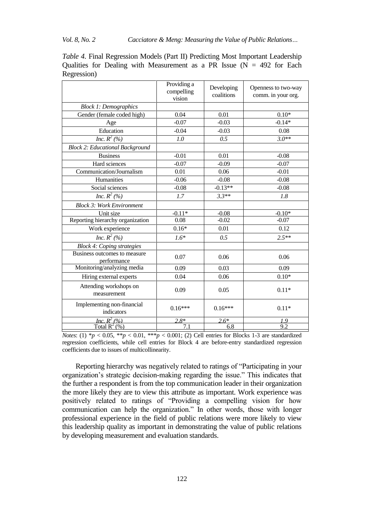### *Vol. 8, No. 2 Cacciatore & Meng: Measuring the Value of Public Relations…*

|                                             | Providing a<br>compelling<br>vision | Developing<br>coalitions | Openness to two-way<br>comm. in your org. |  |
|---------------------------------------------|-------------------------------------|--------------------------|-------------------------------------------|--|
| <b>Block 1: Demographics</b>                |                                     |                          |                                           |  |
| Gender (female coded high)                  | 0.04                                | 0.01                     | $0.10*$                                   |  |
| Age                                         | $-0.07$                             | $-0.03$                  | $-0.14*$                                  |  |
| Education                                   | $-0.04$                             | $-0.03$                  | 0.08                                      |  |
| <i>Inc.</i> $R^2$ (%)                       | 1.0                                 | 0.5                      | $3.0**$                                   |  |
| <b>Block 2: Educational Background</b>      |                                     |                          |                                           |  |
| <b>Business</b>                             | $-0.01$                             | 0.01                     | $-0.08$                                   |  |
| Hard sciences                               | $-0.07$                             | $-0.09$                  | $-0.07$                                   |  |
| Communication/Journalism                    | 0.01                                | 0.06                     | $-0.01$                                   |  |
| Humanities                                  | $-0.06$                             | $-0.08$                  | $-0.08$                                   |  |
| Social sciences                             | $-0.08$                             | $-0.13**$                | $-0.08$                                   |  |
| Inc. $R^2$ (%)                              | 1.7                                 | $3.3**$                  | 1.8                                       |  |
| <b>Block 3: Work Environment</b>            |                                     |                          |                                           |  |
| Unit size                                   | $-0.11*$                            | $-0.08$                  | $-0.10*$                                  |  |
| Reporting hierarchy organization            | 0.08                                | $-0.02$                  | $-0.07$                                   |  |
| Work experience                             | $0.16*$                             | 0.01                     | 0.12                                      |  |
| Inc. $R^2$ (%)                              | $1.6*$                              | 0.5                      | $2.5**$                                   |  |
| <b>Block 4: Coping strategies</b>           |                                     |                          |                                           |  |
| Business outcomes to measure<br>performance | 0.07                                | 0.06                     | 0.06                                      |  |
| Monitoring/analyzing media                  | 0.09                                | 0.03                     | 0.09                                      |  |
| Hiring external experts                     | 0.04                                | 0.06                     | $0.10*$                                   |  |
| Attending workshops on<br>measurement       | 0.09                                | 0.05                     | $0.11*$                                   |  |
| Implementing non-financial<br>indicators    | $0.16***$                           | $0.16***$                | $0.11*$                                   |  |
| Inc. $R^2$ (%)                              | $2.8*$                              | $2.6*$                   | 1.9                                       |  |
| Total $R^2$ (%)                             | 7.1                                 | 6.8                      | 9.2                                       |  |

*Table 4.* Final Regression Models (Part II) Predicting Most Important Leadership Qualities for Dealing with Measurement as a PR Issue  $(N = 492)$  for Each Regression)

Reporting hierarchy was negatively related to ratings of "Participating in your organization's strategic decision-making regarding the issue." This indicates that the further a respondent is from the top communication leader in their organization the more likely they are to view this attribute as important. Work experience was positively related to ratings of "Providing a compelling vision for how communication can help the organization." In other words, those with longer professional experience in the field of public relations were more likely to view this leadership quality as important in demonstrating the value of public relations by developing measurement and evaluation standards.

*Notes*: (1)  ${}^*p$  < 0.05,  ${}^{**}p$  < 0.01,  ${}^{***}p$  < 0.001; (2) Cell entries for Blocks 1-3 are standardized regression coefficients, while cell entries for Block 4 are before-entry standardized regression coefficients due to issues of multicollinearity.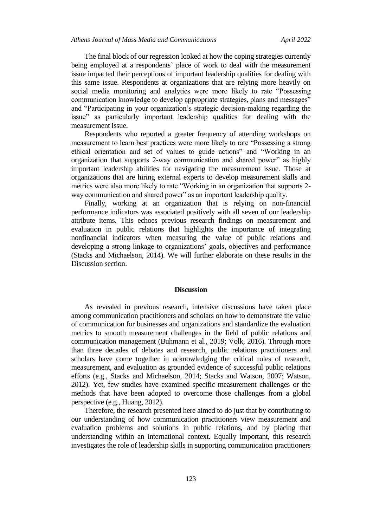The final block of our regression looked at how the coping strategies currently being employed at a respondents' place of work to deal with the measurement issue impacted their perceptions of important leadership qualities for dealing with this same issue. Respondents at organizations that are relying more heavily on social media monitoring and analytics were more likely to rate "Possessing communication knowledge to develop appropriate strategies, plans and messages" and "Participating in your organization's strategic decision-making regarding the issue" as particularly important leadership qualities for dealing with the measurement issue.

Respondents who reported a greater frequency of attending workshops on measurement to learn best practices were more likely to rate "Possessing a strong ethical orientation and set of values to guide actions" and "Working in an organization that supports 2-way communication and shared power" as highly important leadership abilities for navigating the measurement issue. Those at organizations that are hiring external experts to develop measurement skills and metrics were also more likely to rate "Working in an organization that supports 2way communication and shared power" as an important leadership quality.

Finally, working at an organization that is relying on non-financial performance indicators was associated positively with all seven of our leadership attribute items. This echoes previous research findings on measurement and evaluation in public relations that highlights the importance of integrating nonfinancial indicators when measuring the value of public relations and developing a strong linkage to organizations' goals, objectives and performance (Stacks and Michaelson, 2014). We will further elaborate on these results in the Discussion section.

#### **Discussion**

As revealed in previous research, intensive discussions have taken place among communication practitioners and scholars on how to demonstrate the value of communication for businesses and organizations and standardize the evaluation metrics to smooth measurement challenges in the field of public relations and communication management (Buhmann et al., 2019; Volk, 2016). Through more than three decades of debates and research, public relations practitioners and scholars have come together in acknowledging the critical roles of research, measurement, and evaluation as grounded evidence of successful public relations efforts (e.g., Stacks and Michaelson, 2014; Stacks and Watson, 2007; Watson, 2012). Yet, few studies have examined specific measurement challenges or the methods that have been adopted to overcome those challenges from a global perspective (e.g., Huang, 2012).

Therefore, the research presented here aimed to do just that by contributing to our understanding of how communication practitioners view measurement and evaluation problems and solutions in public relations, and by placing that understanding within an international context. Equally important, this research investigates the role of leadership skills in supporting communication practitioners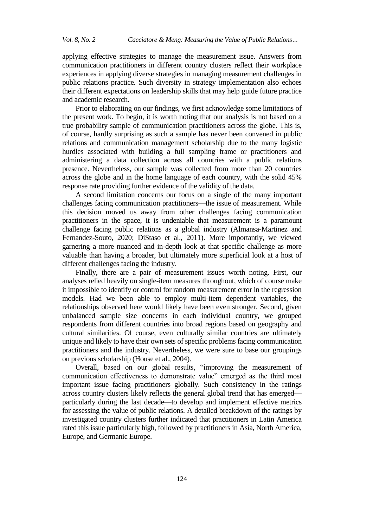applying effective strategies to manage the measurement issue. Answers from communication practitioners in different country clusters reflect their workplace experiences in applying diverse strategies in managing measurement challenges in public relations practice. Such diversity in strategy implementation also echoes their different expectations on leadership skills that may help guide future practice and academic research.

Prior to elaborating on our findings, we first acknowledge some limitations of the present work. To begin, it is worth noting that our analysis is not based on a true probability sample of communication practitioners across the globe. This is, of course, hardly surprising as such a sample has never been convened in public relations and communication management scholarship due to the many logistic hurdles associated with building a full sampling frame or practitioners and administering a data collection across all countries with a public relations presence. Nevertheless, our sample was collected from more than 20 countries across the globe and in the home language of each country, with the solid 45% response rate providing further evidence of the validity of the data.

A second limitation concerns our focus on a single of the many important challenges facing communication practitioners—the issue of measurement. While this decision moved us away from other challenges facing communication practitioners in the space, it is undeniable that measurement is a paramount challenge facing public relations as a global industry (Almansa-Martinez and Fernandez-Souto, 2020; DiStaso et al., 2011). More importantly, we viewed garnering a more nuanced and in-depth look at that specific challenge as more valuable than having a broader, but ultimately more superficial look at a host of different challenges facing the industry.

Finally, there are a pair of measurement issues worth noting. First, our analyses relied heavily on single-item measures throughout, which of course make it impossible to identify or control for random measurement error in the regression models. Had we been able to employ multi-item dependent variables, the relationships observed here would likely have been even stronger. Second, given unbalanced sample size concerns in each individual country, we grouped respondents from different countries into broad regions based on geography and cultural similarities. Of course, even culturally similar countries are ultimately unique and likely to have their own sets of specific problems facing communication practitioners and the industry. Nevertheless, we were sure to base our groupings on previous scholarship (House et al., 2004).

Overall, based on our global results, "improving the measurement of communication effectiveness to demonstrate value" emerged as the third most important issue facing practitioners globally. Such consistency in the ratings across country clusters likely reflects the general global trend that has emerged particularly during the last decade—to develop and implement effective metrics for assessing the value of public relations. A detailed breakdown of the ratings by investigated country clusters further indicated that practitioners in Latin America rated this issue particularly high, followed by practitioners in Asia, North America, Europe, and Germanic Europe.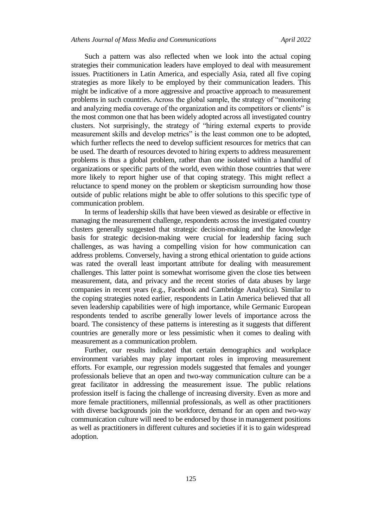Such a pattern was also reflected when we look into the actual coping strategies their communication leaders have employed to deal with measurement issues. Practitioners in Latin America, and especially Asia, rated all five coping strategies as more likely to be employed by their communication leaders. This might be indicative of a more aggressive and proactive approach to measurement problems in such countries. Across the global sample, the strategy of "monitoring" and analyzing media coverage of the organization and its competitors or clients" is the most common one that has been widely adopted across all investigated country clusters. Not surprisingly, the strategy of "hiring external experts to provide measurement skills and develop metrics" is the least common one to be adopted, which further reflects the need to develop sufficient resources for metrics that can be used. The dearth of resources devoted to hiring experts to address measurement problems is thus a global problem, rather than one isolated within a handful of organizations or specific parts of the world, even within those countries that were more likely to report higher use of that coping strategy. This might reflect a reluctance to spend money on the problem or skepticism surrounding how those outside of public relations might be able to offer solutions to this specific type of communication problem.

In terms of leadership skills that have been viewed as desirable or effective in managing the measurement challenge, respondents across the investigated country clusters generally suggested that strategic decision-making and the knowledge basis for strategic decision-making were crucial for leadership facing such challenges, as was having a compelling vision for how communication can address problems. Conversely, having a strong ethical orientation to guide actions was rated the overall least important attribute for dealing with measurement challenges. This latter point is somewhat worrisome given the close ties between measurement, data, and privacy and the recent stories of data abuses by large companies in recent years (e.g., Facebook and Cambridge Analytica). Similar to the coping strategies noted earlier, respondents in Latin America believed that all seven leadership capabilities were of high importance, while Germanic European respondents tended to ascribe generally lower levels of importance across the board. The consistency of these patterns is interesting as it suggests that different countries are generally more or less pessimistic when it comes to dealing with measurement as a communication problem.

Further, our results indicated that certain demographics and workplace environment variables may play important roles in improving measurement efforts. For example, our regression models suggested that females and younger professionals believe that an open and two-way communication culture can be a great facilitator in addressing the measurement issue. The public relations profession itself is facing the challenge of increasing diversity. Even as more and more female practitioners, millennial professionals, as well as other practitioners with diverse backgrounds join the workforce, demand for an open and two-way communication culture will need to be endorsed by those in management positions as well as practitioners in different cultures and societies if it is to gain widespread adoption.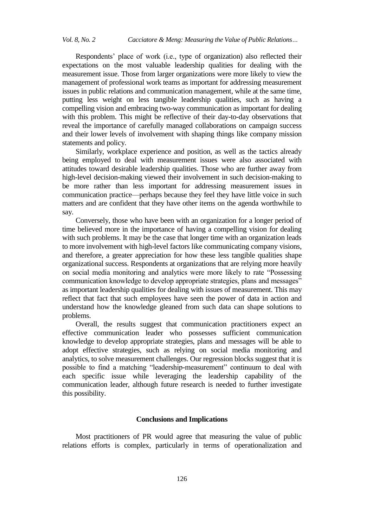Respondents' place of work (i.e., type of organization) also reflected their expectations on the most valuable leadership qualities for dealing with the measurement issue. Those from larger organizations were more likely to view the management of professional work teams as important for addressing measurement issues in public relations and communication management, while at the same time, putting less weight on less tangible leadership qualities, such as having a compelling vision and embracing two-way communication as important for dealing with this problem. This might be reflective of their day-to-day observations that reveal the importance of carefully managed collaborations on campaign success and their lower levels of involvement with shaping things like company mission statements and policy.

Similarly, workplace experience and position, as well as the tactics already being employed to deal with measurement issues were also associated with attitudes toward desirable leadership qualities. Those who are further away from high-level decision-making viewed their involvement in such decision-making to be more rather than less important for addressing measurement issues in communication practice—perhaps because they feel they have little voice in such matters and are confident that they have other items on the agenda worthwhile to say.

Conversely, those who have been with an organization for a longer period of time believed more in the importance of having a compelling vision for dealing with such problems. It may be the case that longer time with an organization leads to more involvement with high-level factors like communicating company visions, and therefore, a greater appreciation for how these less tangible qualities shape organizational success. Respondents at organizations that are relying more heavily on social media monitoring and analytics were more likely to rate "Possessing communication knowledge to develop appropriate strategies, plans and messages" as important leadership qualities for dealing with issues of measurement. This may reflect that fact that such employees have seen the power of data in action and understand how the knowledge gleaned from such data can shape solutions to problems.

Overall, the results suggest that communication practitioners expect an effective communication leader who possesses sufficient communication knowledge to develop appropriate strategies, plans and messages will be able to adopt effective strategies, such as relying on social media monitoring and analytics, to solve measurement challenges. Our regression blocks suggest that it is possible to find a matching "leadership-measurement" continuum to deal with each specific issue while leveraging the leadership capability of the communication leader, although future research is needed to further investigate this possibility.

#### **Conclusions and Implications**

Most practitioners of PR would agree that measuring the value of public relations efforts is complex, particularly in terms of operationalization and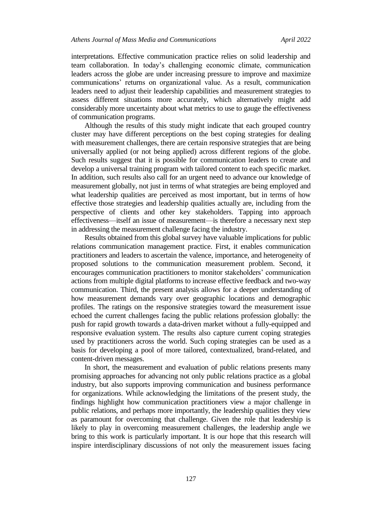interpretations. Effective communication practice relies on solid leadership and team collaboration. In today's challenging economic climate, communication leaders across the globe are under increasing pressure to improve and maximize communications' returns on organizational value. As a result, communication leaders need to adjust their leadership capabilities and measurement strategies to assess different situations more accurately, which alternatively might add considerably more uncertainty about what metrics to use to gauge the effectiveness of communication programs.

Although the results of this study might indicate that each grouped country cluster may have different perceptions on the best coping strategies for dealing with measurement challenges, there are certain responsive strategies that are being universally applied (or not being applied) across different regions of the globe. Such results suggest that it is possible for communication leaders to create and develop a universal training program with tailored content to each specific market. In addition, such results also call for an urgent need to advance our knowledge of measurement globally, not just in terms of what strategies are being employed and what leadership qualities are perceived as most important, but in terms of how effective those strategies and leadership qualities actually are, including from the perspective of clients and other key stakeholders. Tapping into approach effectiveness—itself an issue of measurement—is therefore a necessary next step in addressing the measurement challenge facing the industry.

Results obtained from this global survey have valuable implications for public relations communication management practice. First, it enables communication practitioners and leaders to ascertain the valence, importance, and heterogeneity of proposed solutions to the communication measurement problem. Second, it encourages communication practitioners to monitor stakeholders' communication actions from multiple digital platforms to increase effective feedback and two-way communication. Third, the present analysis allows for a deeper understanding of how measurement demands vary over geographic locations and demographic profiles. The ratings on the responsive strategies toward the measurement issue echoed the current challenges facing the public relations profession globally: the push for rapid growth towards a data-driven market without a fully-equipped and responsive evaluation system. The results also capture current coping strategies used by practitioners across the world. Such coping strategies can be used as a basis for developing a pool of more tailored, contextualized, brand-related, and content-driven messages.

In short, the measurement and evaluation of public relations presents many promising approaches for advancing not only public relations practice as a global industry, but also supports improving communication and business performance for organizations. While acknowledging the limitations of the present study, the findings highlight how communication practitioners view a major challenge in public relations, and perhaps more importantly, the leadership qualities they view as paramount for overcoming that challenge. Given the role that leadership is likely to play in overcoming measurement challenges, the leadership angle we bring to this work is particularly important. It is our hope that this research will inspire interdisciplinary discussions of not only the measurement issues facing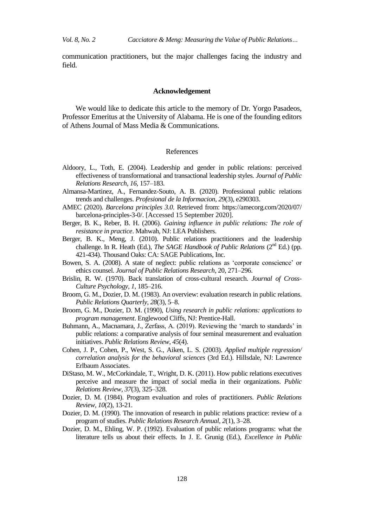communication practitioners, but the major challenges facing the industry and field.

### **Acknowledgement**

We would like to dedicate this article to the memory of Dr. Yorgo Pasadeos, Professor Emeritus at the University of Alabama. He is one of the founding editors of Athens Journal of Mass Media & Communications.

#### References

- Aldoory, L., Toth, E. (2004). Leadership and gender in public relations: perceived effectiveness of transformational and transactional leadership styles. *Journal of Public Relations Research, 16*, 157–183.
- Almansa-Martinez, A., Fernandez-Souto, A. B. (2020). Professional public relations trends and challenges. *Profesional de la Informacion, 29*(3), e290303.
- AMEC (2020). *Barcelona principles 3.0*. Retrieved from: https://amecorg.com/2020/07/ barcelona-principles-3-0/. [Accessed 15 September 2020].
- Berger, B. K., Reber, B. H. (2006). *Gaining influence in public relations: The role of resistance in practice*. Mahwah, NJ: LEA Publishers.
- Berger, B. K., Meng, J. (2010). Public relations practitioners and the leadership challenge. In R. Heath (Ed.), *The SAGE Handbook of Public Relations* (2<sup>nd</sup> Ed.) (pp. 421-434). Thousand Oaks: CA: SAGE Publications, Inc.
- Bowen, S. A. (2008). A state of neglect: public relations as 'corporate conscience' or ethics counsel. *Journal of Public Relations Research*, 20, 271–296.
- Brislin, R. W. (1970). Back translation of cross-cultural research. *Journal of Cross-Culture Psychology, 1*, 185–216.
- Broom, G. M., Dozier, D. M. (1983). An overview: evaluation research in public relations. *Public Relations Quarterly, 28*(3), 5–8.
- Broom, G. M., Dozier, D. M. (1990), *Using research in public relations: applications to program management*. Englewood Cliffs, NJ: Prentice-Hall.
- Buhmann, A., Macnamara, J., Zerfass, A. (2019). Reviewing the 'march to standards' in public relations: a comparative analysis of four seminal measurement and evaluation initiatives. *Public Relations Review*, *45*(4).
- Cohen, J. P., Cohen, P., West, S. G., Aiken, L. S. (2003). *Applied multiple regression/ correlation analysis for the behavioral sciences* (3rd Ed.). Hillsdale, NJ: Lawrence Erlbaum Associates.
- DiStaso, M. W., McCorkindale, T., Wright, D. K. (2011). How public relations executives perceive and measure the impact of social media in their organizations. *Public Relations Review, 37*(3), 325–328.
- Dozier, D. M. (1984). Program evaluation and roles of practitioners. *Public Relations Review, 10*(2), 13-21.
- Dozier, D. M. (1990). The innovation of research in public relations practice: review of a program of studies. *Public Relations Research Annual, 2*(1), 3–28.
- Dozier, D. M., Ehling, W. P. (1992). Evaluation of public relations programs: what the literature tells us about their effects. In J. E. Grunig (Ed.), *Excellence in Public*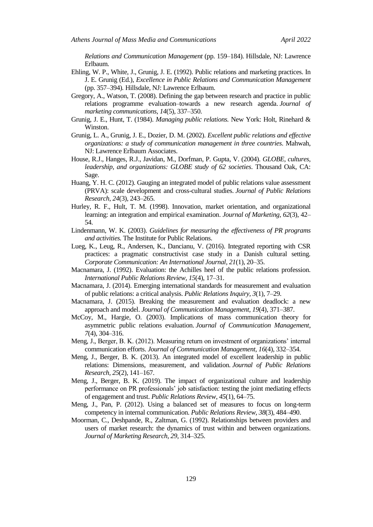*Relations and Communication Management* (pp. 159–184). Hillsdale, NJ: Lawrence Erlbaum.

- Ehling, W. P., White, J., Grunig, J. E. (1992). Public relations and marketing practices. In J. E. Grunig (Ed.), *Excellence in Public Relations and Communication Management*  (pp. 357–394)*.* Hillsdale, NJ: Lawrence Erlbaum.
- Gregory, A., Watson, T. (2008). Defining the gap between research and practice in public relations programme evaluation–towards a new research agenda. *Journal of marketing communications*, *14*(5), 337–350.
- Grunig, J. E., Hunt, T. (1984). *Managing public relations.* New York: Holt, Rinehard & Winston.
- Grunig, L. A., Grunig, J. E., Dozier, D. M. (2002). *Excellent public relations and effective organizations: a study of communication management in three countries*. Mahwah, NJ: Lawrence Erlbaum Associates.
- House, R.J., Hanges, R.J., Javidan, M., Dorfman, P. Gupta, V. (2004). *GLOBE, cultures, leadership, and organizations: GLOBE study of 62 societies*. Thousand Oak, CA: Sage.
- Huang, Y. H. C. (2012). Gauging an integrated model of public relations value assessment (PRVA): scale development and cross-cultural studies. *Journal of Public Relations Research*, *24*(3), 243–265.
- Hurley, R. F., Hult, T. M. (1998). Innovation, market orientation, and organizational learning: an integration and empirical examination. *Journal of Marketing, 62*(3), 42– 54.
- Lindenmann, W. K. (2003). *Guidelines for measuring the effectiveness of PR programs and activities.* The Institute for Public Relations.
- Lueg, K., Leug, R., Andersen, K., Dancianu, V. (2016). Integrated reporting with CSR practices: a pragmatic constructivist case study in a Danish cultural setting. *Corporate Communication: An International Journal, 21*(1), 20–35.
- Macnamara, J. (1992). Evaluation: the Achilles heel of the public relations profession. *International Public Relations Review, 15*(4), 17–31.
- Macnamara, J. (2014). Emerging international standards for measurement and evaluation of public relations: a critical analysis. *Public Relations Inquiry, 3*(1), 7–29.
- Macnamara, J. (2015). Breaking the measurement and evaluation deadlock: a new approach and model. *Journal of Communication Management, 19*(4), 371–387.
- McCoy, M., Hargie, O. (2003). Implications of mass communication theory for asymmetric public relations evaluation. *Journal of Communication Management*, *7*(4), 304–316.
- Meng, J., Berger, B. K. (2012). Measuring return on investment of organizations' internal communication efforts. *Journal of Communication Management, 16*(4), 332–354.
- Meng, J., Berger, B. K. (2013). An integrated model of excellent leadership in public relations: Dimensions, measurement, and validation. *Journal of Public Relations Research, 25*(2), 141–167.
- Meng, J., Berger, B. K. (2019). The impact of organizational culture and leadership performance on PR professionals' job satisfaction: testing the joint mediating effects of engagement and trust. *Public Relations Review*, *45*(1), 64–75.
- Meng, J., Pan, P. (2012). Using a balanced set of measures to focus on long-term competency in internal communication. *Public Relations Review*, *38*(3), 484–490.
- Moorman, C., Deshpande, R., Zaltman, G. (1992). Relationships between providers and users of market research: the dynamics of trust within and between organizations. *Journal of Marketing Research, 29*, 314–325.